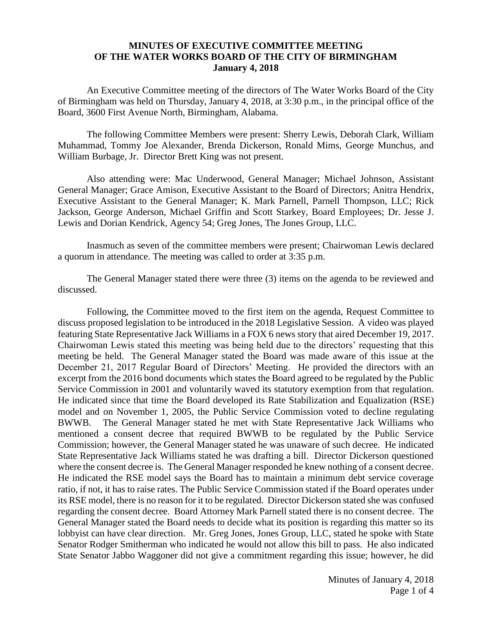## **MINUTES OF EXECUTIVE COMMITTEE MEETING OF THE WATER WORKS BOARD OF THE CITY OF BIRMINGHAM January 4, 2018**

An Executive Committee meeting of the directors of The Water Works Board of the City of Birmingham was held on Thursday, January 4, 2018, at 3:30 p.m., in the principal office of the Board, 3600 First Avenue North, Birmingham, Alabama.

The following Committee Members were present: Sherry Lewis, Deborah Clark, William Muhammad, Tommy Joe Alexander, Brenda Dickerson, Ronald Mims, George Munchus, and William Burbage, Jr. Director Brett King was not present.

Also attending were: Mac Underwood, General Manager; Michael Johnson, Assistant General Manager; Grace Amison, Executive Assistant to the Board of Directors; Anitra Hendrix, Executive Assistant to the General Manager; K. Mark Parnell, Parnell Thompson, LLC; Rick Jackson, George Anderson, Michael Griffin and Scott Starkey, Board Employees; Dr. Jesse J. Lewis and Dorian Kendrick, Agency 54; Greg Jones, The Jones Group, LLC.

Inasmuch as seven of the committee members were present; Chairwoman Lewis declared a quorum in attendance. The meeting was called to order at 3:35 p.m.

The General Manager stated there were three (3) items on the agenda to be reviewed and discussed.

Following, the Committee moved to the first item on the agenda, Request Committee to discuss proposed legislation to be introduced in the 2018 Legislative Session. A video was played featuring State Representative Jack Williams in a FOX 6 news story that aired December 19, 2017. Chairwoman Lewis stated this meeting was being held due to the directors' requesting that this meeting be held. The General Manager stated the Board was made aware of this issue at the December 21, 2017 Regular Board of Directors' Meeting. He provided the directors with an excerpt from the 2016 bond documents which states the Board agreed to be regulated by the Public Service Commission in 2001 and voluntarily waved its statutory exemption from that regulation. He indicated since that time the Board developed its Rate Stabilization and Equalization (RSE) model and on November 1, 2005, the Public Service Commission voted to decline regulating BWWB. The General Manager stated he met with State Representative Jack Williams who mentioned a consent decree that required BWWB to be regulated by the Public Service Commission; however, the General Manager stated he was unaware of such decree. He indicated State Representative Jack Williams stated he was drafting a bill. Director Dickerson questioned where the consent decree is. The General Manager responded he knew nothing of a consent decree. He indicated the RSE model says the Board has to maintain a minimum debt service coverage ratio, if not, it has to raise rates. The Public Service Commission stated if the Board operates under its RSE model, there is no reason for it to be regulated. Director Dickerson stated she was confused regarding the consent decree. Board Attorney Mark Parnell stated there is no consent decree. The General Manager stated the Board needs to decide what its position is regarding this matter so its lobbyist can have clear direction. Mr. Greg Jones, Jones Group, LLC, stated he spoke with State Senator Rodger Smitherman who indicated he would not allow this bill to pass. He also indicated State Senator Jabbo Waggoner did not give a commitment regarding this issue; however, he did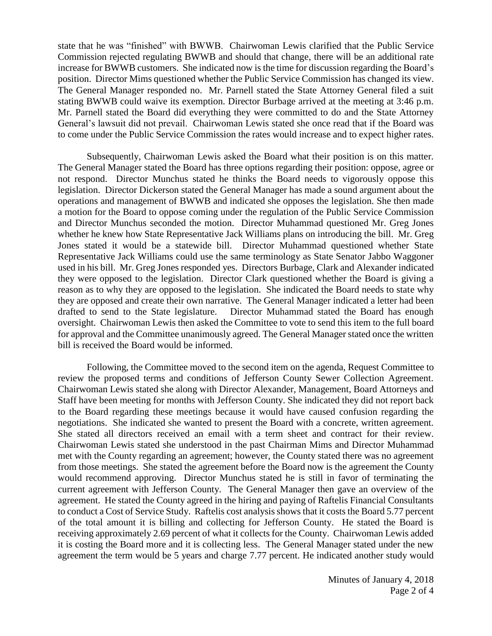state that he was "finished" with BWWB. Chairwoman Lewis clarified that the Public Service Commission rejected regulating BWWB and should that change, there will be an additional rate increase for BWWB customers. She indicated now is the time for discussion regarding the Board's position. Director Mims questioned whether the Public Service Commission has changed its view. The General Manager responded no. Mr. Parnell stated the State Attorney General filed a suit stating BWWB could waive its exemption. Director Burbage arrived at the meeting at 3:46 p.m. Mr. Parnell stated the Board did everything they were committed to do and the State Attorney General's lawsuit did not prevail. Chairwoman Lewis stated she once read that if the Board was to come under the Public Service Commission the rates would increase and to expect higher rates.

Subsequently, Chairwoman Lewis asked the Board what their position is on this matter. The General Manager stated the Board has three options regarding their position: oppose, agree or not respond. Director Munchus stated he thinks the Board needs to vigorously oppose this legislation. Director Dickerson stated the General Manager has made a sound argument about the operations and management of BWWB and indicated she opposes the legislation. She then made a motion for the Board to oppose coming under the regulation of the Public Service Commission and Director Munchus seconded the motion. Director Muhammad questioned Mr. Greg Jones whether he knew how State Representative Jack Williams plans on introducing the bill. Mr. Greg Jones stated it would be a statewide bill. Director Muhammad questioned whether State Representative Jack Williams could use the same terminology as State Senator Jabbo Waggoner used in his bill. Mr. Greg Jones responded yes. Directors Burbage, Clark and Alexander indicated they were opposed to the legislation. Director Clark questioned whether the Board is giving a reason as to why they are opposed to the legislation. She indicated the Board needs to state why they are opposed and create their own narrative. The General Manager indicated a letter had been drafted to send to the State legislature. Director Muhammad stated the Board has enough oversight. Chairwoman Lewis then asked the Committee to vote to send this item to the full board for approval and the Committee unanimously agreed. The General Manager stated once the written bill is received the Board would be informed.

Following, the Committee moved to the second item on the agenda, Request Committee to review the proposed terms and conditions of Jefferson County Sewer Collection Agreement. Chairwoman Lewis stated she along with Director Alexander, Management, Board Attorneys and Staff have been meeting for months with Jefferson County. She indicated they did not report back to the Board regarding these meetings because it would have caused confusion regarding the negotiations. She indicated she wanted to present the Board with a concrete, written agreement. She stated all directors received an email with a term sheet and contract for their review. Chairwoman Lewis stated she understood in the past Chairman Mims and Director Muhammad met with the County regarding an agreement; however, the County stated there was no agreement from those meetings. She stated the agreement before the Board now is the agreement the County would recommend approving. Director Munchus stated he is still in favor of terminating the current agreement with Jefferson County. The General Manager then gave an overview of the agreement. He stated the County agreed in the hiring and paying of Raftelis Financial Consultants to conduct a Cost of Service Study. Raftelis cost analysis shows that it costs the Board 5.77 percent of the total amount it is billing and collecting for Jefferson County. He stated the Board is receiving approximately 2.69 percent of what it collects for the County. Chairwoman Lewis added it is costing the Board more and it is collecting less. The General Manager stated under the new agreement the term would be 5 years and charge 7.77 percent. He indicated another study would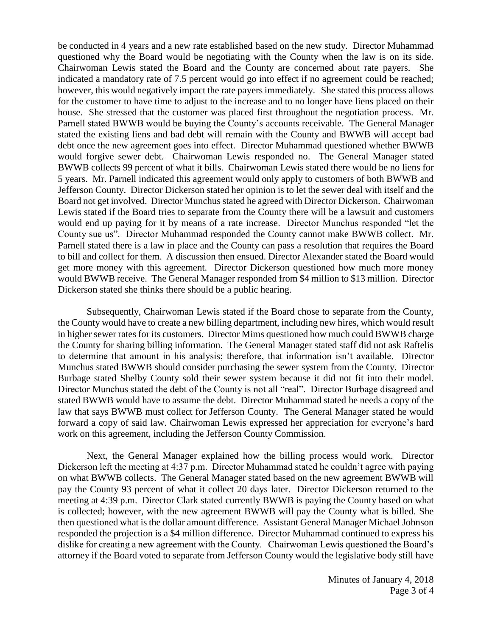be conducted in 4 years and a new rate established based on the new study. Director Muhammad questioned why the Board would be negotiating with the County when the law is on its side. Chairwoman Lewis stated the Board and the County are concerned about rate payers. She indicated a mandatory rate of 7.5 percent would go into effect if no agreement could be reached; however, this would negatively impact the rate payers immediately. She stated this process allows for the customer to have time to adjust to the increase and to no longer have liens placed on their house. She stressed that the customer was placed first throughout the negotiation process. Mr. Parnell stated BWWB would be buying the County's accounts receivable. The General Manager stated the existing liens and bad debt will remain with the County and BWWB will accept bad debt once the new agreement goes into effect. Director Muhammad questioned whether BWWB would forgive sewer debt. Chairwoman Lewis responded no. The General Manager stated BWWB collects 99 percent of what it bills. Chairwoman Lewis stated there would be no liens for 5 years. Mr. Parnell indicated this agreement would only apply to customers of both BWWB and Jefferson County. Director Dickerson stated her opinion is to let the sewer deal with itself and the Board not get involved. Director Munchus stated he agreed with Director Dickerson. Chairwoman Lewis stated if the Board tries to separate from the County there will be a lawsuit and customers would end up paying for it by means of a rate increase. Director Munchus responded "let the County sue us". Director Muhammad responded the County cannot make BWWB collect. Mr. Parnell stated there is a law in place and the County can pass a resolution that requires the Board to bill and collect for them. A discussion then ensued. Director Alexander stated the Board would get more money with this agreement. Director Dickerson questioned how much more money would BWWB receive. The General Manager responded from \$4 million to \$13 million. Director Dickerson stated she thinks there should be a public hearing.

Subsequently, Chairwoman Lewis stated if the Board chose to separate from the County, the County would have to create a new billing department, including new hires, which would result in higher sewer rates for its customers. Director Mims questioned how much could BWWB charge the County for sharing billing information. The General Manager stated staff did not ask Raftelis to determine that amount in his analysis; therefore, that information isn't available. Director Munchus stated BWWB should consider purchasing the sewer system from the County. Director Burbage stated Shelby County sold their sewer system because it did not fit into their model. Director Munchus stated the debt of the County is not all "real". Director Burbage disagreed and stated BWWB would have to assume the debt. Director Muhammad stated he needs a copy of the law that says BWWB must collect for Jefferson County. The General Manager stated he would forward a copy of said law. Chairwoman Lewis expressed her appreciation for everyone's hard work on this agreement, including the Jefferson County Commission.

Next, the General Manager explained how the billing process would work. Director Dickerson left the meeting at 4:37 p.m. Director Muhammad stated he couldn't agree with paying on what BWWB collects. The General Manager stated based on the new agreement BWWB will pay the County 93 percent of what it collect 20 days later. Director Dickerson returned to the meeting at 4:39 p.m. Director Clark stated currently BWWB is paying the County based on what is collected; however, with the new agreement BWWB will pay the County what is billed. She then questioned what is the dollar amount difference. Assistant General Manager Michael Johnson responded the projection is a \$4 million difference. Director Muhammad continued to express his dislike for creating a new agreement with the County. Chairwoman Lewis questioned the Board's attorney if the Board voted to separate from Jefferson County would the legislative body still have